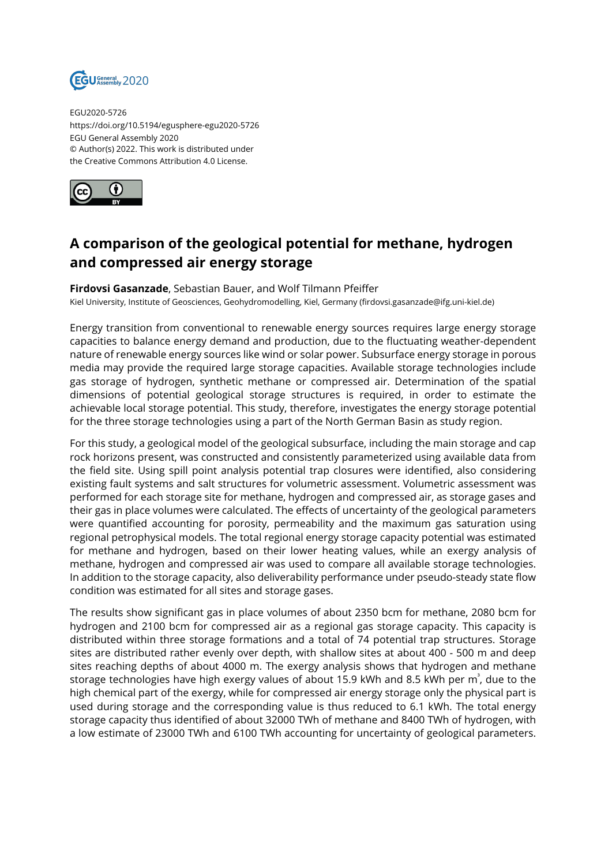

EGU2020-5726 https://doi.org/10.5194/egusphere-egu2020-5726 EGU General Assembly 2020 © Author(s) 2022. This work is distributed under the Creative Commons Attribution 4.0 License.



## **A comparison of the geological potential for methane, hydrogen and compressed air energy storage**

## **Firdovsi Gasanzade**, Sebastian Bauer, and Wolf Tilmann Pfeiffer

Kiel University, Institute of Geosciences, Geohydromodelling, Kiel, Germany (firdovsi.gasanzade@ifg.uni-kiel.de)

Energy transition from conventional to renewable energy sources requires large energy storage capacities to balance energy demand and production, due to the fluctuating weather-dependent nature of renewable energy sources like wind or solar power. Subsurface energy storage in porous media may provide the required large storage capacities. Available storage technologies include gas storage of hydrogen, synthetic methane or compressed air. Determination of the spatial dimensions of potential geological storage structures is required, in order to estimate the achievable local storage potential. This study, therefore, investigates the energy storage potential for the three storage technologies using a part of the North German Basin as study region.

For this study, a geological model of the geological subsurface, including the main storage and cap rock horizons present, was constructed and consistently parameterized using available data from the field site. Using spill point analysis potential trap closures were identified, also considering existing fault systems and salt structures for volumetric assessment. Volumetric assessment was performed for each storage site for methane, hydrogen and compressed air, as storage gases and their gas in place volumes were calculated. The effects of uncertainty of the geological parameters were quantified accounting for porosity, permeability and the maximum gas saturation using regional petrophysical models. The total regional energy storage capacity potential was estimated for methane and hydrogen, based on their lower heating values, while an exergy analysis of methane, hydrogen and compressed air was used to compare all available storage technologies. In addition to the storage capacity, also deliverability performance under pseudo-steady state flow condition was estimated for all sites and storage gases.

The results show significant gas in place volumes of about 2350 bcm for methane, 2080 bcm for hydrogen and 2100 bcm for compressed air as a regional gas storage capacity. This capacity is distributed within three storage formations and a total of 74 potential trap structures. Storage sites are distributed rather evenly over depth, with shallow sites at about 400 - 500 m and deep sites reaching depths of about 4000 m. The exergy analysis shows that hydrogen and methane storage technologies have high exergy values of about 15.9 kWh and 8.5 kWh per m $^{\rm{3}}$ , due to the high chemical part of the exergy, while for compressed air energy storage only the physical part is used during storage and the corresponding value is thus reduced to 6.1 kWh. The total energy storage capacity thus identified of about 32000 TWh of methane and 8400 TWh of hydrogen, with a low estimate of 23000 TWh and 6100 TWh accounting for uncertainty of geological parameters.